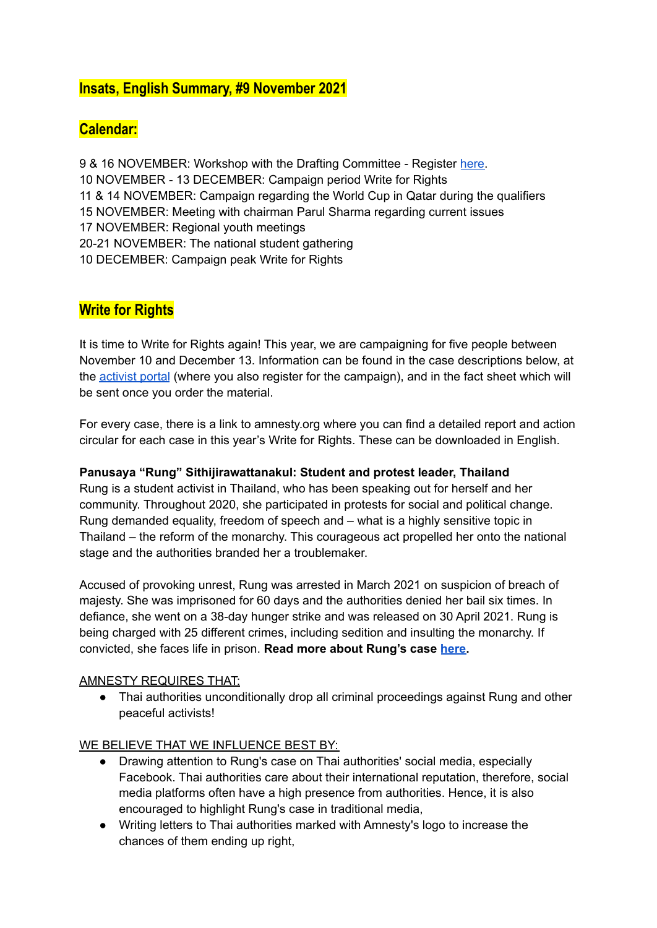# **Insats, English Summary, #9 November 2021**

# **Calendar:**

 & 16 NOVEMBER: Workshop with the Drafting Committee - Register [here.](https://docs.google.com/forms/d/e/1FAIpQLSc-IIWf98ikRkTWldouVEu0XiVzrunMThTtQShOoSb3l7KBFg/viewform) NOVEMBER - 13 DECEMBER: Campaign period Write for Rights & 14 NOVEMBER: Campaign regarding the World Cup in Qatar during the qualifiers NOVEMBER: Meeting with chairman Parul Sharma regarding current issues NOVEMBER: Regional youth meetings 20-21 NOVEMBER: The national student gathering DECEMBER: Campaign peak Write for Rights

## **Write for Rights**

It is time to Write for Rights again! This year, we are campaigning for five people between November 10 and December 13. Information can be found in the case descriptions below, at the [activist](https://aktivism.amnesty.se/delta-i-en-aktion/sff/) portal (where you also register for the campaign), and in the fact sheet which will be sent once you order the material.

For every case, there is a link to amnesty.org where you can find a detailed report and action circular for each case in this year's Write for Rights. These can be downloaded in English.

### **Panusaya "Rung" Sithijirawattanakul: Student and protest leader, Thailand**

Rung is a student activist in Thailand, who has been speaking out for herself and her community. Throughout 2020, she participated in protests for social and political change. Rung demanded equality, freedom of speech and – what is a highly sensitive topic in Thailand – the reform of the monarchy. This courageous act propelled her onto the national stage and the authorities branded her a troublemaker.

Accused of provoking unrest, Rung was arrested in March 2021 on suspicion of breach of majesty. She was imprisoned for 60 days and the authorities denied her bail six times. In defiance, she went on a 38-day hunger strike and was released on 30 April 2021. Rung is being charged with 25 different crimes, including sedition and insulting the monarchy. If convicted, she faces life in prison. **Read more about Rung's case [here.](https://www.amnesty.org/en/documents/pol32/4573/2021/en/)**

#### AMNESTY REQUIRES THAT:

● Thai authorities unconditionally drop all criminal proceedings against Rung and other peaceful activists!

#### WE BELIEVE THAT WE INFLUENCE BEST BY:

- Drawing attention to Rung's case on Thai authorities' social media, especially Facebook. Thai authorities care about their international reputation, therefore, social media platforms often have a high presence from authorities. Hence, it is also encouraged to highlight Rung's case in traditional media,
- Writing letters to Thai authorities marked with Amnesty's logo to increase the chances of them ending up right,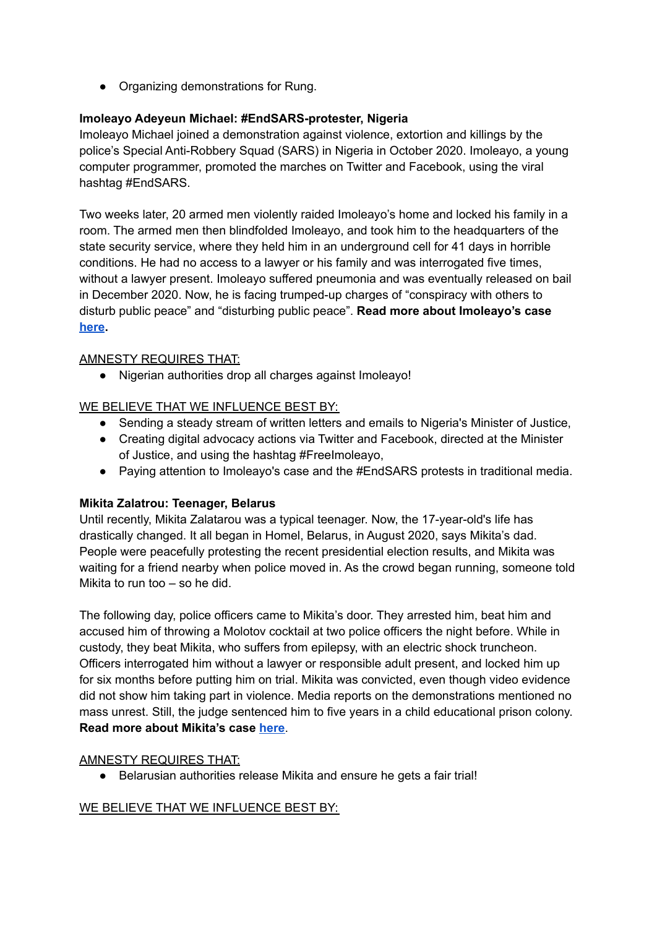• Organizing demonstrations for Rung.

## **Imoleayo Adeyeun Michael: #EndSARS-protester, Nigeria**

Imoleayo Michael joined a demonstration against violence, extortion and killings by the police's Special Anti-Robbery Squad (SARS) in Nigeria in October 2020. Imoleayo, a young computer programmer, promoted the marches on Twitter and Facebook, using the viral hashtag #EndSARS.

Two weeks later, 20 armed men violently raided Imoleayo's home and locked his family in a room. The armed men then blindfolded Imoleayo, and took him to the headquarters of the state security service, where they held him in an underground cell for 41 days in horrible conditions. He had no access to a lawyer or his family and was interrogated five times, without a lawyer present. Imoleayo suffered pneumonia and was eventually released on bail in December 2020. Now, he is facing trumped-up charges of "conspiracy with others to disturb public peace" and "disturbing public peace". **Read more about Imoleayo's case [here](https://www.amnesty.org/en/documents/pol32/4579/2021/en/).**

### AMNESTY REQUIRES THAT:

● Nigerian authorities drop all charges against Imoleayo!

### WE BELIEVE THAT WE INFLUENCE BEST BY:

- Sending a steady stream of written letters and emails to Nigeria's Minister of Justice,
- Creating digital advocacy actions via Twitter and Facebook, directed at the Minister of Justice, and using the hashtag #FreeImoleayo,
- Paying attention to Imoleayo's case and the #EndSARS protests in traditional media.

### **Mikita Zalatrou: Teenager, Belarus**

Until recently, Mikita Zalatarou was a typical teenager. Now, the 17-year-old's life has drastically changed. It all began in Homel, Belarus, in August 2020, says Mikita's dad. People were peacefully protesting the recent presidential election results, and Mikita was waiting for a friend nearby when police moved in. As the crowd began running, someone told Mikita to run too – so he did.

The following day, police officers came to Mikita's door. They arrested him, beat him and accused him of throwing a Molotov cocktail at two police officers the night before. While in custody, they beat Mikita, who suffers from epilepsy, with an electric shock truncheon. Officers interrogated him without a lawyer or responsible adult present, and locked him up for six months before putting him on trial. Mikita was convicted, even though video evidence did not show him taking part in violence. Media reports on the demonstrations mentioned no mass unrest. Still, the judge sentenced him to five years in a child educational prison colony. **Read more about Mikita's case [here](https://www.amnesty.org/en/documents/pol32/4577/2021/en/)**.

### AMNESTY REQUIRES THAT:

● Belarusian authorities release Mikita and ensure he gets a fair trial!

### WE BELIEVE THAT WE INFLUENCE BEST BY: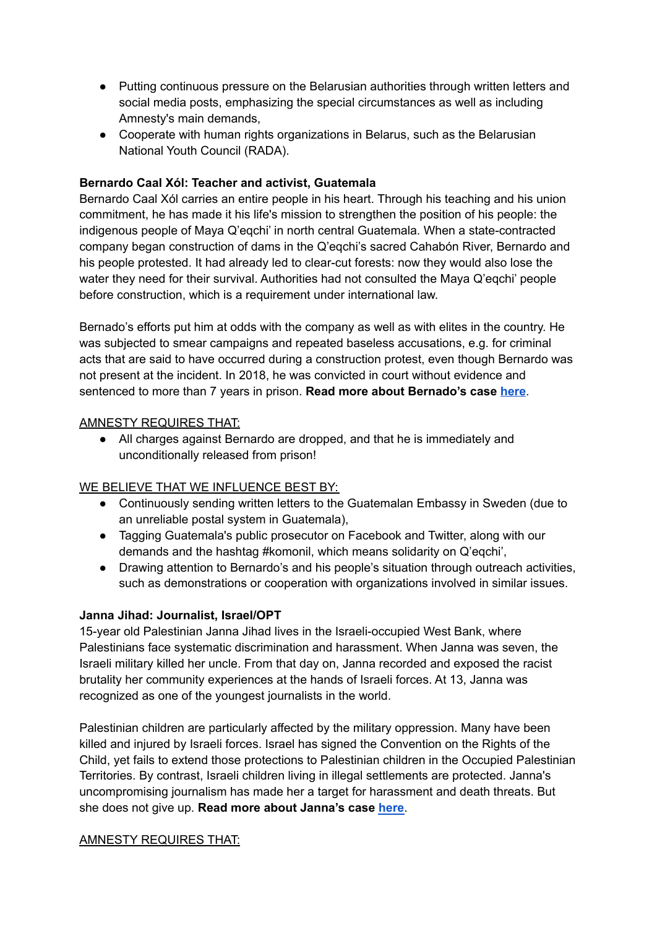- Putting continuous pressure on the Belarusian authorities through written letters and social media posts, emphasizing the special circumstances as well as including Amnesty's main demands,
- Cooperate with human rights organizations in Belarus, such as the Belarusian National Youth Council (RADA).

### **Bernardo Caal Xól: Teacher and activist, Guatemala**

Bernardo Caal Xól carries an entire people in his heart. Through his teaching and his union commitment, he has made it his life's mission to strengthen the position of his people: the indigenous people of Maya Q'eqchi' in north central Guatemala. When a state-contracted company began construction of dams in the Q'eqchi's sacred Cahabón River, Bernardo and his people protested. It had already led to clear-cut forests: now they would also lose the water they need for their survival. Authorities had not consulted the Maya Q'eqchi' people before construction, which is a requirement under international law.

Bernado's efforts put him at odds with the company as well as with elites in the country. He was subjected to smear campaigns and repeated baseless accusations, e.g. for criminal acts that are said to have occurred during a construction protest, even though Bernardo was not present at the incident. In 2018, he was convicted in court without evidence and sentenced to more than 7 years in prison. **Read more about Bernado's case [here](https://www.amnesty.org/en/documents/pol32/4572/2021/en/)**.

#### AMNESTY REQUIRES THAT:

● All charges against Bernardo are dropped, and that he is immediately and unconditionally released from prison!

### WE BELIEVE THAT WE INFLUENCE BEST BY:

- Continuously sending written letters to the Guatemalan Embassy in Sweden (due to an unreliable postal system in Guatemala),
- Tagging Guatemala's public prosecutor on Facebook and Twitter, along with our demands and the hashtag #komonil, which means solidarity on Q'eqchi',
- Drawing attention to Bernardo's and his people's situation through outreach activities, such as demonstrations or cooperation with organizations involved in similar issues.

#### **Janna Jihad: Journalist, Israel/OPT**

15-year old Palestinian Janna Jihad lives in the Israeli-occupied West Bank, where Palestinians face systematic discrimination and harassment. When Janna was seven, the Israeli military killed her uncle. From that day on, Janna recorded and exposed the racist brutality her community experiences at the hands of Israeli forces. At 13, Janna was recognized as one of the youngest journalists in the world.

Palestinian children are particularly affected by the military oppression. Many have been killed and injured by Israeli forces. Israel has signed the Convention on the Rights of the Child, yet fails to extend those protections to Palestinian children in the Occupied Palestinian Territories. By contrast, Israeli children living in illegal settlements are protected. Janna's uncompromising journalism has made her a target for harassment and death threats. But she does not give up. **Read more about Janna's case [here](https://www.amnesty.org/en/documents/pol32/4580/2021/en/)**.

#### AMNESTY REQUIRES THAT: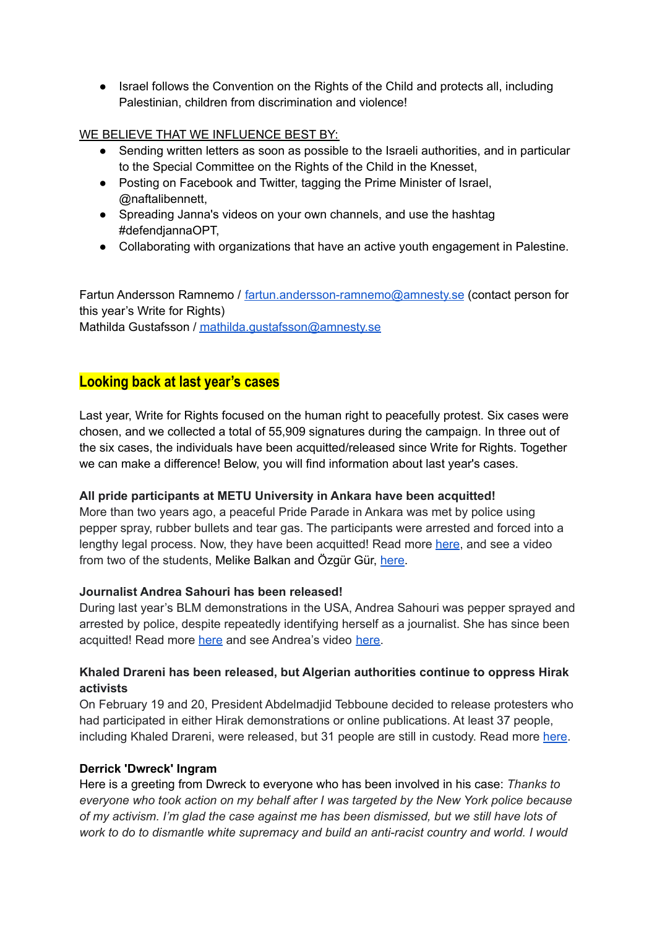● Israel follows the Convention on the Rights of the Child and protects all, including Palestinian, children from discrimination and violence!

### WE BELIEVE THAT WE INFLUENCE BEST BY:

- Sending written letters as soon as possible to the Israeli authorities, and in particular to the Special Committee on the Rights of the Child in the Knesset,
- Posting on Facebook and Twitter, tagging the Prime Minister of Israel, @naftalibennett,
- Spreading Janna's videos on your own channels, and use the hashtag #defendjannaOPT,
- Collaborating with organizations that have an active youth engagement in Palestine.

Fartun Andersson Ramnemo / [fartun.andersson-ramnemo@amnesty.se](mailto:fartun.andersson-ramnemo@amnesty.se) (contact person for this year's Write for Rights) Mathilda Gustafsson / [mathilda.gustafsson@amnesty.se](mailto:mathilda.gustafsson@amnesty.se)

# **Looking back at last year's cases**

Last year, Write for Rights focused on the human right to peacefully protest. Six cases were chosen, and we collected a total of 55,909 signatures during the campaign. In three out of the six cases, the individuals have been acquitted/released since Write for Rights. Together we can make a difference! Below, you will find information about last year's cases.

### **All pride participants at METU University in Ankara have been acquitted!**

More than two years ago, a peaceful Pride Parade in Ankara was met by police using pepper spray, rubber bullets and tear gas. The participants were arrested and forced into a lengthy legal process. Now, they have been acquitted! Read more [here](https://www.amnesty.org/en/latest/news/2021/10/turkey-welcome-acquittal-of-all-pride-participants-a-victory-that-should-never-have-been-necessary/), and see a video from two of the students, Melike Balkan and Özgür Gür, [here](https://drive.google.com/file/d/19tglL6MEcFJo2vW35Ge6hz4gmHNfMh2f/view).

### **Journalist Andrea Sahouri has been released!**

During last year's BLM demonstrations in the USA, Andrea Sahouri was pepper sprayed and arrested by police, despite repeatedly identifying herself as a journalist. She has since been acquitted! Read more [here](https://www.amnesty.se/aktuellt/journalisten-andrea-sahouri-har-blivit-friad/) and see Andrea's video [here.](https://drive.google.com/file/d/1Fap-xh4enxlTMexbafyE4a_3iwuGBsC8/view)

### **Khaled Drareni has been released, but Algerian authorities continue to oppress Hirak activists**

On February 19 and 20, President Abdelmadjid Tebboune decided to release protesters who had participated in either Hirak demonstrations or online publications. At least 37 people, including Khaled Drareni, were released, but 31 people are still in custody. Read more [here.](https://www.amnesty.se/aktuellt/khaled-drareni-har-slappts-fri-men-de-algeriska-myndigheterna-fortsatter-att-fortrycka-hirak-aktivister/)

### **Derrick 'Dwreck' Ingram**

Here is a greeting from Dwreck to everyone who has been involved in his case: *Thanks to everyone who took action on my behalf after I was targeted by the New York police because of my activism. I'm glad the case against me has been dismissed, but we still have lots of work to do to dismantle white supremacy and build an anti-racist country and world. I would*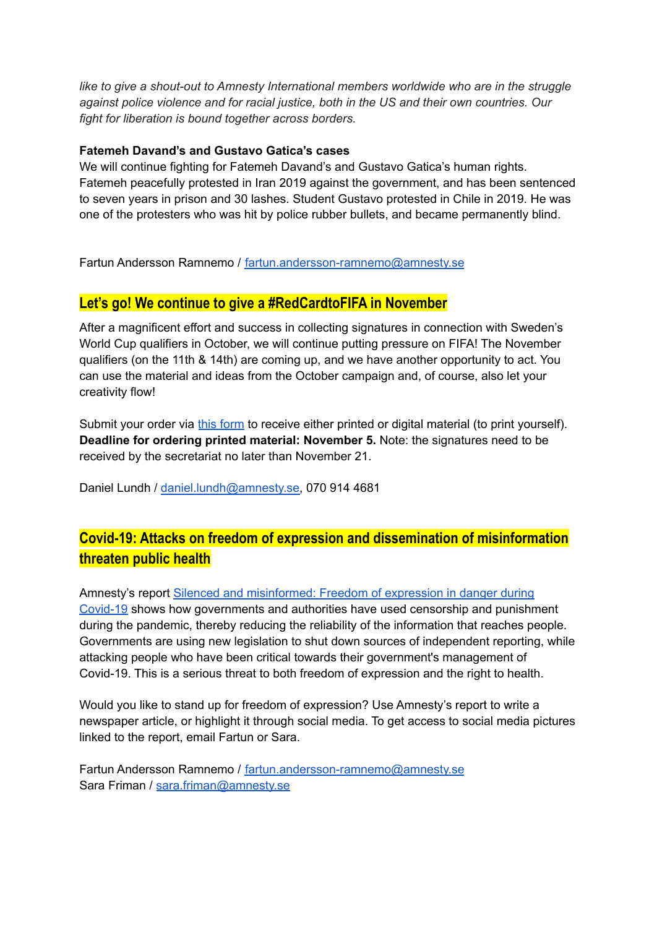*like to give a shout-out to Amnesty International members worldwide who are in the struggle against police violence and for racial justice, both in the US and their own countries. Our fight for liberation is bound together across borders.*

#### **Fatemeh Davand's and Gustavo Gatica's cases**

We will continue fighting for Fatemeh Davand's and Gustavo Gatica's human rights. Fatemeh peacefully protested in Iran 2019 against the government, and has been sentenced to seven years in prison and 30 lashes. Student Gustavo protested in Chile in 2019. He was one of the protesters who was hit by police rubber bullets, and became permanently blind.

Fartun Andersson Ramnemo / [fartun.andersson-ramnemo@amnesty.se](mailto:fartun.andersson-ramnemo@amnesty.se)

## **Let's go! We continue to give a #RedCardtoFIFA in November**

After a magnificent effort and success in collecting signatures in connection with Sweden's World Cup qualifiers in October, we will continue putting pressure on FIFA! The November qualifiers (on the 11th & 14th) are coming up, and we have another opportunity to act. You can use the material and ideas from the October campaign and, of course, also let your creativity flow!

Submit your order via this [form](http://aktivism.amnesty.se/forms/materialbestallning-vm-kvalmatcherna-oktober) to receive either printed or digital material (to print yourself). **Deadline for ordering printed material: November 5.** Note: the signatures need to be received by the secretariat no later than November 21.

Daniel Lundh / [daniel.lundh@amnesty.se,](mailto:daniel.lundh@amnesty.se) 070 914 4681

# **Covid-19: Attacks on freedom of expression and dissemination of misinformation threaten public health**

Amnesty's report Silenced and [misinformed:](https://www.amnesty.org/en/documents/pol30/4751/2021/en/) Freedom of expression in danger during [Covid-19](https://www.amnesty.org/en/documents/pol30/4751/2021/en/) shows how governments and authorities have used censorship and punishment during the pandemic, thereby reducing the reliability of the information that reaches people. Governments are using new legislation to shut down sources of independent reporting, while attacking people who have been critical towards their government's management of Covid-19. This is a serious threat to both freedom of expression and the right to health.

Would you like to stand up for freedom of expression? Use Amnesty's report to write a newspaper article, or highlight it through social media. To get access to social media pictures linked to the report, email Fartun or Sara.

Fartun Andersson Ramnemo / [fartun.andersson-ramnemo@amnesty.se](mailto:fartun.andersson-ramnemo@amnesty.se) Sara Friman / [sara.friman@amnesty.se](mailto:sara.friman@amnesty.se)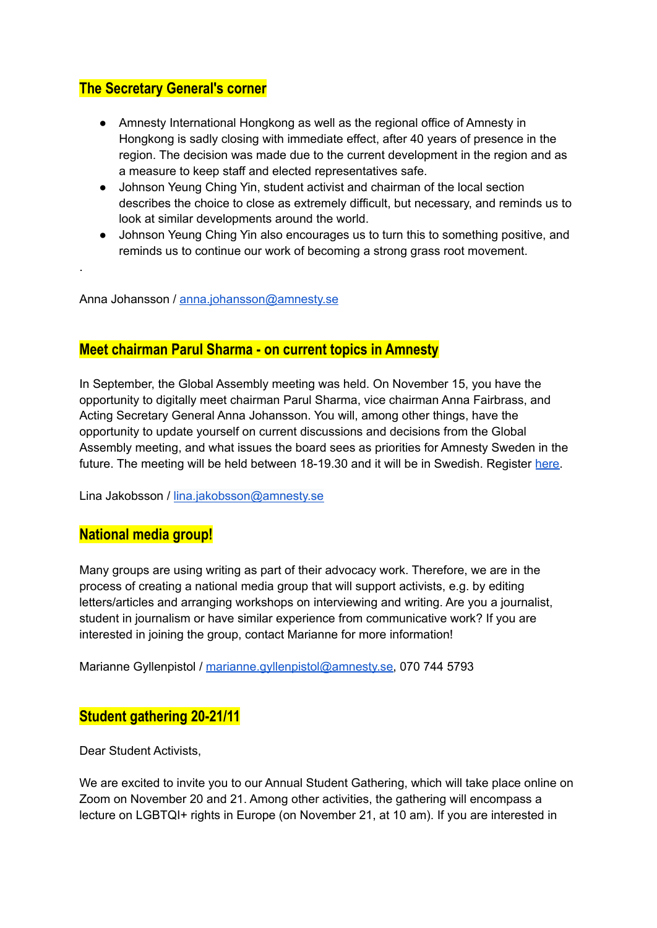# **The Secretary General's corner**

- Amnesty International Hongkong as well as the regional office of Amnesty in Hongkong is sadly closing with immediate effect, after 40 years of presence in the region. The decision was made due to the current development in the region and as a measure to keep staff and elected representatives safe.
- Johnson Yeung Ching Yin, student activist and chairman of the local section describes the choice to close as extremely difficult, but necessary, and reminds us to look at similar developments around the world.
- Johnson Yeung Ching Yin also encourages us to turn this to something positive, and reminds us to continue our work of becoming a strong grass root movement.

Anna Johansson / [anna.johansson@amnesty.se](mailto:anna.johansson@amnesty.se)

## **Meet chairman Parul Sharma - on current topics in Amnesty**

In September, the Global Assembly meeting was held. On November 15, you have the opportunity to digitally meet chairman Parul Sharma, vice chairman Anna Fairbrass, and Acting Secretary General Anna Johansson. You will, among other things, have the opportunity to update yourself on current discussions and decisions from the Global Assembly meeting, and what issues the board sees as priorities for Amnesty Sweden in the future. The meeting will be held between 18-19.30 and it will be in Swedish. Register [here.](https://aktivism.amnesty.se/forms/mote-om-aktuella-fragor-i-amnesty/)

Lina Jakobsson / [lina.jakobsson@amnesty.se](mailto:lina.jakobsson@amnesty.se)

## **National media group!**

.

Many groups are using writing as part of their advocacy work. Therefore, we are in the process of creating a national media group that will support activists, e.g. by editing letters/articles and arranging workshops on interviewing and writing. Are you a journalist, student in journalism or have similar experience from communicative work? If you are interested in joining the group, contact Marianne for more information!

Marianne Gyllenpistol / [marianne.gyllenpistol@amnesty.se,](mailto:marianne.gyllenpistol@amnesty.se) 070 744 5793

## **Student gathering 20-21/11**

Dear Student Activists,

We are excited to invite you to our Annual Student Gathering, which will take place online on Zoom on November 20 and 21. Among other activities, the gathering will encompass a lecture on LGBTQI+ rights in Europe (on November 21, at 10 am). If you are interested in